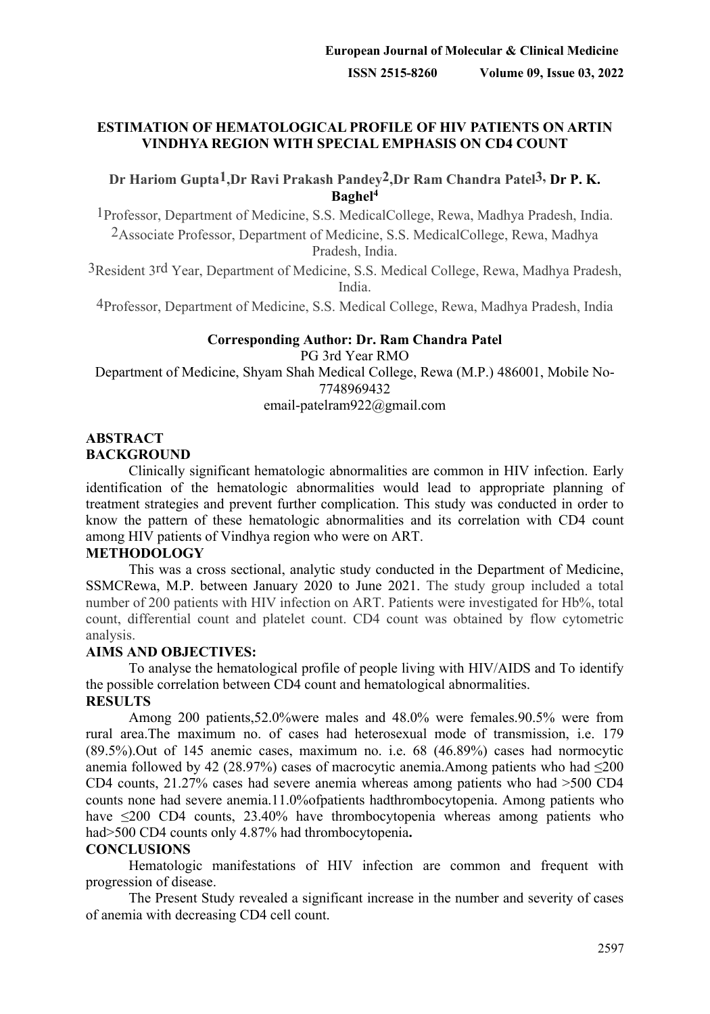### **ESTIMATION OF HEMATOLOGICAL PROFILE OF HIV PATIENTS ON ARTIN VINDHYA REGION WITH SPECIAL EMPHASIS ON CD4 COUNT**

# **Dr Hariom Gupta1,Dr Ravi Prakash Pandey2,Dr Ram Chandra Patel3, Dr P. K. Baghel4**

1Professor, Department of Medicine, S.S. MedicalCollege, Rewa, Madhya Pradesh, India. 2Associate Professor, Department of Medicine, S.S. MedicalCollege, Rewa, Madhya Pradesh, India.

3Resident 3rd Year, Department of Medicine, S.S. Medical College, Rewa, Madhya Pradesh, India.

4Professor, Department of Medicine, S.S. Medical College, Rewa, Madhya Pradesh, India

# **Corresponding Author: Dr. Ram Chandra Patel** PG 3rd Year RMO

Department of Medicine, Shyam Shah Medical College, Rewa (M.P.) 486001, Mobile No-7748969432 email-patelram922@gmail.com

### **ABSTRACT BACKGROUND**

Clinically significant hematologic abnormalities are common in HIV infection. Early identification of the hematologic abnormalities would lead to appropriate planning of treatment strategies and prevent further complication. This study was conducted in order to know the pattern of these hematologic abnormalities and its correlation with CD4 count among HIV patients of Vindhya region who were on ART.

# **METHODOLOGY**

This was a cross sectional, analytic study conducted in the Department of Medicine, SSMCRewa, M.P. between January 2020 to June 2021. The study group included a total number of 200 patients with HIV infection on ART. Patients were investigated for Hb%, total count, differential count and platelet count. CD4 count was obtained by flow cytometric analysis.

### **AIMS AND OBJECTIVES:**

To analyse the hematological profile of people living with HIV/AIDS and To identify the possible correlation between CD4 count and hematological abnormalities. **RESULTS**

Among 200 patients,52.0%were males and 48.0% were females.90.5% were from rural area.The maximum no. of cases had heterosexual mode of transmission, i.e. 179 (89.5%).Out of 145 anemic cases, maximum no. i.e. 68 (46.89%) cases had normocytic anemia followed by 42 (28.97%) cases of macrocytic anemia.Among patients who had  $\leq 200$ CD4 counts, 21.27% cases had severe anemia whereas among patients who had >500 CD4 counts none had severe anemia.11.0%ofpatients hadthrombocytopenia. Among patients who have ≤200 CD4 counts, 23.40% have thrombocytopenia whereas among patients who had>500 CD4 counts only 4.87% had thrombocytopenia**.** 

### **CONCLUSIONS**

Hematologic manifestations of HIV infection are common and frequent with progression of disease.

The Present Study revealed a significant increase in the number and severity of cases of anemia with decreasing CD4 cell count.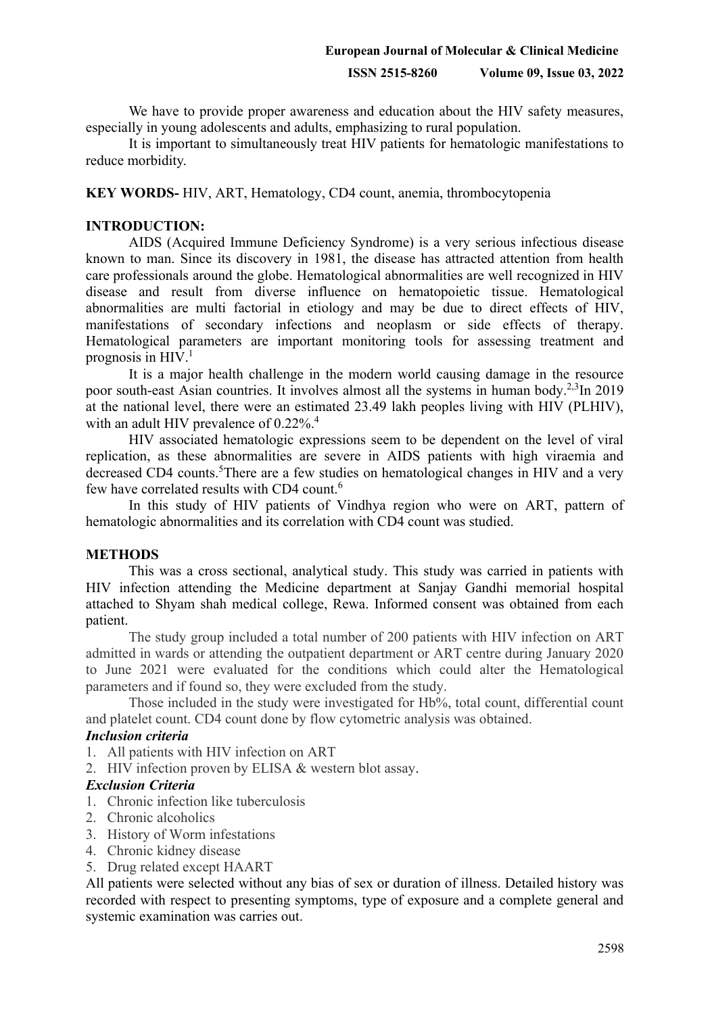We have to provide proper awareness and education about the HIV safety measures, especially in young adolescents and adults, emphasizing to rural population.

It is important to simultaneously treat HIV patients for hematologic manifestations to reduce morbidity.

### **KEY WORDS-** HIV, ART, Hematology, CD4 count, anemia, thrombocytopenia

## **INTRODUCTION:**

AIDS (Acquired Immune Deficiency Syndrome) is a very serious infectious disease known to man. Since its discovery in 1981, the disease has attracted attention from health care professionals around the globe. Hematological abnormalities are well recognized in HIV disease and result from diverse influence on hematopoietic tissue. Hematological abnormalities are multi factorial in etiology and may be due to direct effects of HIV, manifestations of secondary infections and neoplasm or side effects of therapy. Hematological parameters are important monitoring tools for assessing treatment and prognosis in  $HIV<sup>1</sup>$ 

It is a major health challenge in the modern world causing damage in the resource poor south-east Asian countries. It involves almost all the systems in human body.<sup>2,3</sup>In 2019 at the national level, there were an estimated 23.49 lakh peoples living with HIV (PLHIV), with an adult HIV prevalence of  $0.22\%$ <sup>4</sup>.

HIV associated hematologic expressions seem to be dependent on the level of viral replication, as these abnormalities are severe in AIDS patients with high viraemia and decreased CD4 counts.<sup>5</sup>There are a few studies on hematological changes in HIV and a very few have correlated results with CD4 count.<sup>6</sup>

In this study of HIV patients of Vindhya region who were on ART, pattern of hematologic abnormalities and its correlation with CD4 count was studied.

#### **METHODS**

This was a cross sectional, analytical study. This study was carried in patients with HIV infection attending the Medicine department at Sanjay Gandhi memorial hospital attached to Shyam shah medical college, Rewa. Informed consent was obtained from each patient.

The study group included a total number of 200 patients with HIV infection on ART admitted in wards or attending the outpatient department or ART centre during January 2020 to June 2021 were evaluated for the conditions which could alter the Hematological parameters and if found so, they were excluded from the study.

Those included in the study were investigated for Hb%, total count, differential count and platelet count. CD4 count done by flow cytometric analysis was obtained.

#### *Inclusion criteria*

1. All patients with HIV infection on ART

2. HIV infection proven by ELISA & western blot assay.

#### *Exclusion Criteria*

- 1. Chronic infection like tuberculosis
- 2. Chronic alcoholics
- 3. History of Worm infestations
- 4. Chronic kidney disease
- 5. Drug related except HAART

All patients were selected without any bias of sex or duration of illness. Detailed history was recorded with respect to presenting symptoms, type of exposure and a complete general and systemic examination was carries out.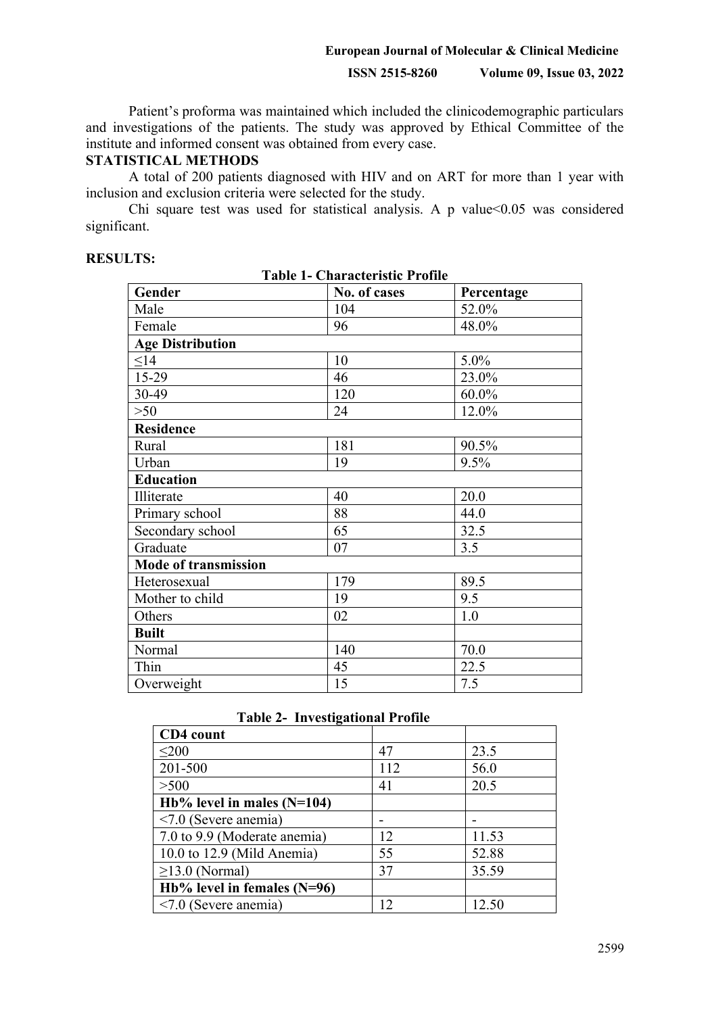#### **European Journal of Molecular & Clinical Medicine**

### **ISSN 2515-8260 Volume 09, Issue 03, 2022**

Patient's proforma was maintained which included the clinicodemographic particulars and investigations of the patients. The study was approved by Ethical Committee of the institute and informed consent was obtained from every case.

#### **STATISTICAL METHODS**

A total of 200 patients diagnosed with HIV and on ART for more than 1 year with inclusion and exclusion criteria were selected for the study.

Chi square test was used for statistical analysis. A p value<0.05 was considered significant.

| <b>Table 1- Characteristic Profile</b> |              |            |  |  |  |  |  |
|----------------------------------------|--------------|------------|--|--|--|--|--|
| Gender                                 | No. of cases | Percentage |  |  |  |  |  |
| Male                                   | 104          | 52.0%      |  |  |  |  |  |
| Female                                 | 96           | 48.0%      |  |  |  |  |  |
| <b>Age Distribution</b>                |              |            |  |  |  |  |  |
| $\leq$ 14                              | 10           | 5.0%       |  |  |  |  |  |
| 15-29                                  | 46           | 23.0%      |  |  |  |  |  |
| 30-49                                  | 120          | 60.0%      |  |  |  |  |  |
| $>50$                                  | 24           | 12.0%      |  |  |  |  |  |
| <b>Residence</b>                       |              |            |  |  |  |  |  |
| Rural                                  | 181          | 90.5%      |  |  |  |  |  |
| Urban                                  | 19           | 9.5%       |  |  |  |  |  |
| <b>Education</b>                       |              |            |  |  |  |  |  |
| Illiterate                             | 40           | 20.0       |  |  |  |  |  |
| Primary school                         | 88           | 44.0       |  |  |  |  |  |
| Secondary school                       | 65           | 32.5       |  |  |  |  |  |
| Graduate                               | 07           | 3.5        |  |  |  |  |  |
| Mode of transmission                   |              |            |  |  |  |  |  |
| Heterosexual                           | 179          | 89.5       |  |  |  |  |  |
| Mother to child                        | 19           | 9.5        |  |  |  |  |  |
| Others                                 | 02           | 1.0        |  |  |  |  |  |
| <b>Built</b>                           |              |            |  |  |  |  |  |
| Normal                                 | 140          | 70.0       |  |  |  |  |  |
| Thin                                   | 45           | 22.5       |  |  |  |  |  |
| Overweight                             | 15           | 7.5        |  |  |  |  |  |

### **RESULTS:**

| CD4 count                     |                |       |
|-------------------------------|----------------|-------|
| $\leq 200$                    | 47             | 23.5  |
| 201-500                       | 112            | 56.0  |
| >500                          | 41             | 20.5  |
| Hb% level in males $(N=104)$  |                |       |
| $\leq$ 7.0 (Severe anemia)    |                |       |
| 7.0 to 9.9 (Moderate anemia)  | 12             | 11.53 |
| 10.0 to 12.9 (Mild Anemia)    | 55             | 52.88 |
| $\geq$ 13.0 (Normal)          | 37             | 35.59 |
| Hb% level in females $(N=96)$ |                |       |
| $< 7.0$ (Severe anemia)       | $\overline{2}$ | 12.50 |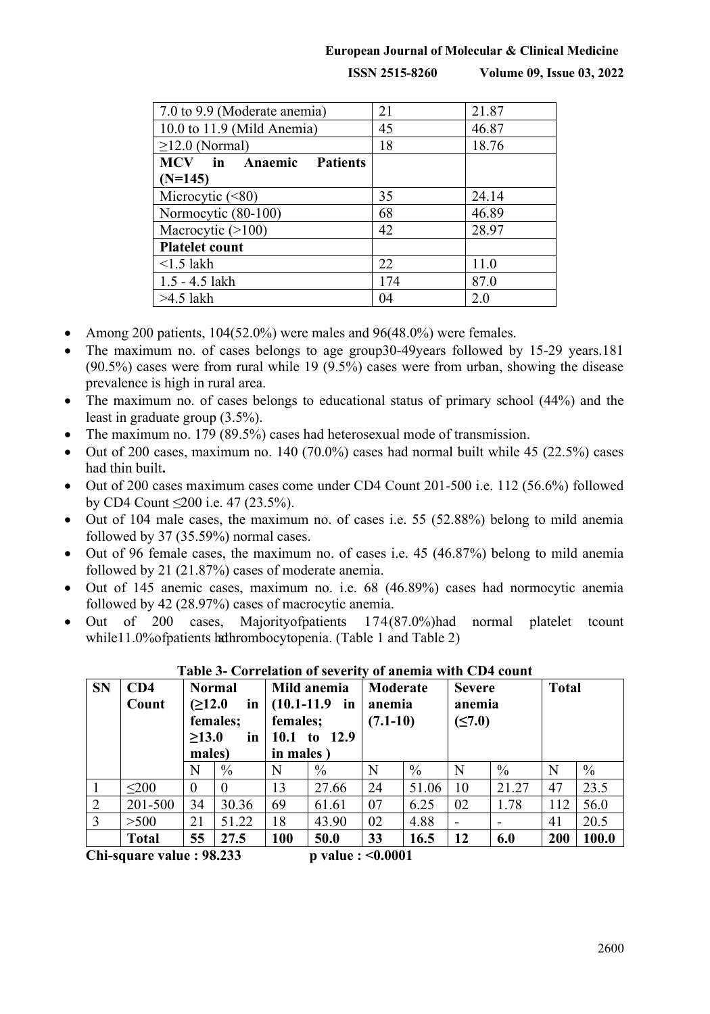### **European Journal of Molecular & Clinical Medicine**

**ISSN 2515-8260 Volume 09, Issue 03, 2022**

| 7.0 to 9.9 (Moderate anemia)   | 21  | 21.87 |  |
|--------------------------------|-----|-------|--|
| 10.0 to 11.9 (Mild Anemia)     | 45  | 46.87 |  |
| $\geq$ 12.0 (Normal)           | 18  | 18.76 |  |
| <b>MCV</b> in Anaemic Patients |     |       |  |
| $(N=145)$                      |     |       |  |
| Microcytic $(\leq 80)$         | 35  | 24.14 |  |
| Normocytic (80-100)            | 68  | 46.89 |  |
| Macrocytic $(>100)$            | 42  | 28.97 |  |
| <b>Platelet count</b>          |     |       |  |
| $\leq$ 1.5 lakh                | 22  | 11.0  |  |
| 1.5 - 4.5 lakh                 | 174 | 87.0  |  |
| $>4.5$ lakh                    | 04  | 2.0   |  |

- Among 200 patients, 104(52.0%) were males and 96(48.0%) were females.
- The maximum no. of cases belongs to age group30-49years followed by 15-29 years.181 (90.5%) cases were from rural while 19 (9.5%) cases were from urban, showing the disease prevalence is high in rural area.
- The maximum no. of cases belongs to educational status of primary school (44%) and the least in graduate group (3.5%).
- The maximum no. 179 (89.5%) cases had heterosexual mode of transmission.
- Out of 200 cases, maximum no. 140 (70.0%) cases had normal built while 45 (22.5%) cases had thin built**.**
- Out of 200 cases maximum cases come under CD4 Count 201-500 i.e. 112 (56.6%) followed by CD4 Count ≤200 i.e. 47 (23.5%).
- Out of 104 male cases, the maximum no. of cases i.e. 55 (52.88%) belong to mild anemia followed by 37 (35.59%) normal cases.
- ∑ Out of 96 female cases, the maximum no. of cases i.e. 45 (46.87%) belong to mild anemia followed by 21 (21.87%) cases of moderate anemia.
- ∑ Out of 145 anemic cases, maximum no. i.e. 68 (46.89%) cases had normocytic anemia followed by 42 (28.97%) cases of macrocytic anemia.
- ∑ Out of 200 cases, Majorityofpatients 174(87.0%)had normal platelet tcount while11.0%ofpatients hathrombocytopenia. (Table 1 and Table 2)

| <b>SN</b>                                                        | CD4<br>Count | <b>Normal</b><br>(≥12.0<br>in<br>females;<br>$\geq 13.0$<br>in<br>males) |          | Mild anemia<br>$(10.1 - 11.9)$<br>in<br>females;<br>10.1 to 12.9<br>in males) |       | Moderate<br>anemia<br>$(7.1-10)$ |       | <b>Severe</b><br>anemia<br>(≤7.0) |               | <b>Total</b> |       |
|------------------------------------------------------------------|--------------|--------------------------------------------------------------------------|----------|-------------------------------------------------------------------------------|-------|----------------------------------|-------|-----------------------------------|---------------|--------------|-------|
|                                                                  |              | N                                                                        | $\%$     | N                                                                             | $\%$  | N                                | $\%$  | N                                 | $\frac{0}{0}$ | N            | $\%$  |
|                                                                  | < 200        | $\Omega$                                                                 | $\Omega$ | 13                                                                            | 27.66 | 24                               | 51.06 | 10                                | 21.27         | 47           | 23.5  |
| 2                                                                | 201-500      | 34                                                                       | 30.36    | 69                                                                            | 61.61 | 07                               | 6.25  | 02                                | 1.78          | 112          | 56.0  |
| $\overline{3}$                                                   | >500         | 21                                                                       | 51.22    | 18                                                                            | 43.90 | 02                               | 4.88  | $\overline{\phantom{0}}$          |               | 41           | 20.5  |
|                                                                  | <b>Total</b> | 55                                                                       | 27.5     | 100                                                                           | 50.0  | 33                               | 16.5  | <b>12</b>                         | 6.0           | 200          | 100.0 |
| $\Gamma$ ki sanove volne : 00.22<br>$n$ value $\epsilon$ /0.0001 |              |                                                                          |          |                                                                               |       |                                  |       |                                   |               |              |       |

### **Table 3- Correlation of severity of anemia with CD4 count**

**Chi-square value : 98.233 p value : <0.0001**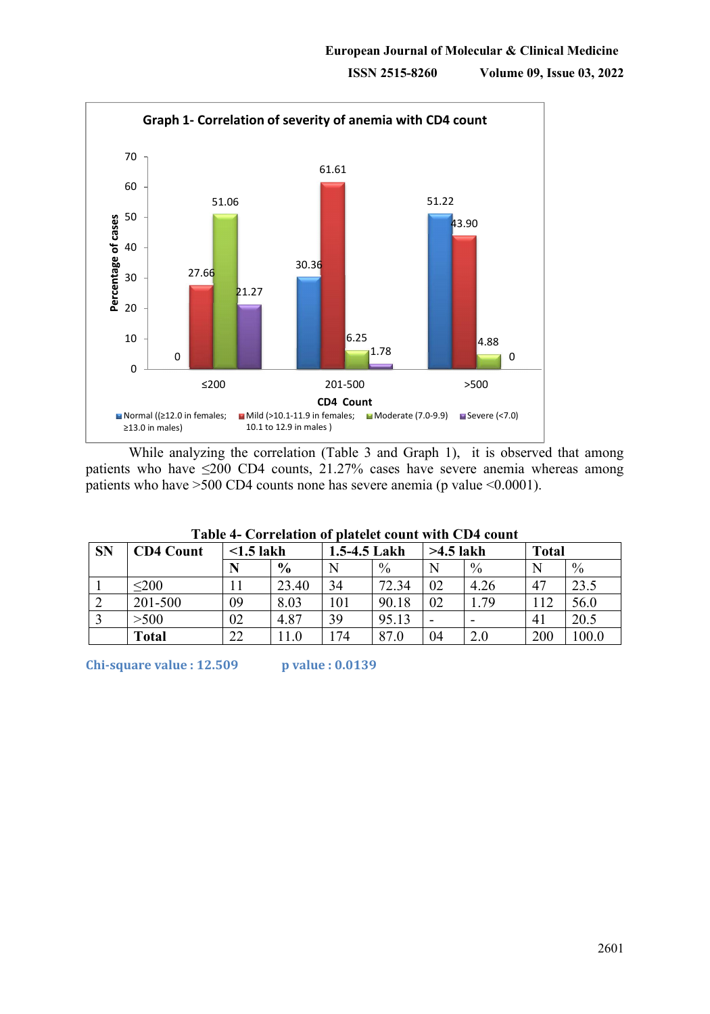

While analyzing the correlation (Table 3 and Graph 1), it is observed that among patients who have  $\leq 200$  CD4 counts, 21.27% cases have severe anemia whereas among patients who have >500 CD4 counts none has severe anemia (p value <0.0001).

| <b>SN</b> | <b>CD4 Count</b> | $\leq$ 1.5 lakh |                          | 1.5-4.5 Lakh |       | $>4.5$ lakh |               | <b>Total</b>   |       |
|-----------|------------------|-----------------|--------------------------|--------------|-------|-------------|---------------|----------------|-------|
|           |                  | N               | $\frac{6}{9}$            | N            | $\%$  | N           | $\frac{0}{0}$ | N              | $\%$  |
|           | $200$            |                 | 23.40                    | 34           | 72.34 | 02          | 4.26          | 47             | 23.5  |
|           | 201-500          | 09              | 8.03                     | 101          | 90.18 | 02          | . . 79        | 12             | 56.0  |
|           | >500             | 02              | 4.87                     | 39           | 95.13 |             |               | 4 <sub>1</sub> | 20.5  |
|           | <b>Total</b>     | 22              | $\mathbin{\mathop{1.0}}$ | 74           | 87.0  | 04          | 2.0           | 200            | 100.0 |

# **Table 4- Correlation of platelet count with CD4 count**

**Chi-square value : 12.509** *p* **value : 0.0139**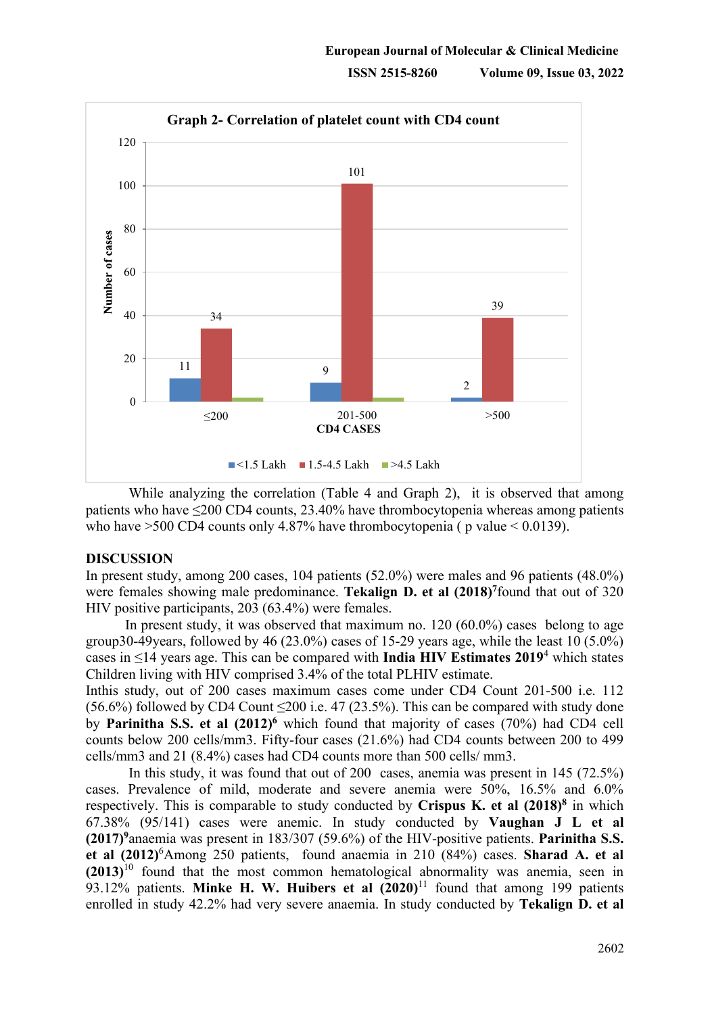

While analyzing the correlation (Table 4 and Graph 2), it is observed that among patients who have ≤200 CD4 counts, 23.40% have thrombocytopenia whereas among patients who have  $>500$  CD4 counts only 4.87% have thrombocytopenia ( p value  $< 0.0139$ ).

#### **DISCUSSION**

In present study, among 200 cases, 104 patients (52.0%) were males and 96 patients (48.0%) were females showing male predominance. **Tekalign D. et al (2018)**<sup>7</sup>found that out of 320 HIV positive participants, 203 (63.4%) were females.

In present study, it was observed that maximum no. 120 (60.0%) cases belong to age group30-49years, followed by 46 (23.0%) cases of 15-29 years age, while the least 10 (5.0%) cases in ≤14 years age. This can be compared with **India HIV Estimates 2019**<sup>4</sup> which states Children living with HIV comprised 3.4% of the total PLHIV estimate.

Inthis study, out of 200 cases maximum cases come under CD4 Count 201-500 i.e. 112 (56.6%) followed by CD4 Count  $\leq 200$  i.e. 47 (23.5%). This can be compared with study done by **Parinitha S.S. et al (2012)6** which found that majority of cases (70%) had CD4 cell counts below 200 cells/mm3. Fifty-four cases (21.6%) had CD4 counts between 200 to 499 cells/mm3 and 21 (8.4%) cases had CD4 counts more than 500 cells/ mm3.

In this study, it was found that out of 200 cases, anemia was present in 145 (72.5%) cases. Prevalence of mild, moderate and severe anemia were 50%, 16.5% and 6.0% respectively. This is comparable to study conducted by **Crispus K. et al (2018)8** in which 67.38% (95/141) cases were anemic. In study conducted by **Vaughan J L et al (2017)9**anaemia was present in 183/307 (59.6%) of the HIV-positive patients. **Parinitha S.S. et al (2012)**<sup>6</sup> Among 250 patients, found anaemia in 210 (84%) cases. **Sharad A. et al (2013)**<sup>10</sup> found that the most common hematological abnormality was anemia, seen in 93.12% patients. **Minke H. W. Huibers et al (2020)**<sup>11</sup> found that among 199 patients enrolled in study 42.2% had very severe anaemia. In study conducted by **Tekalign D. et al**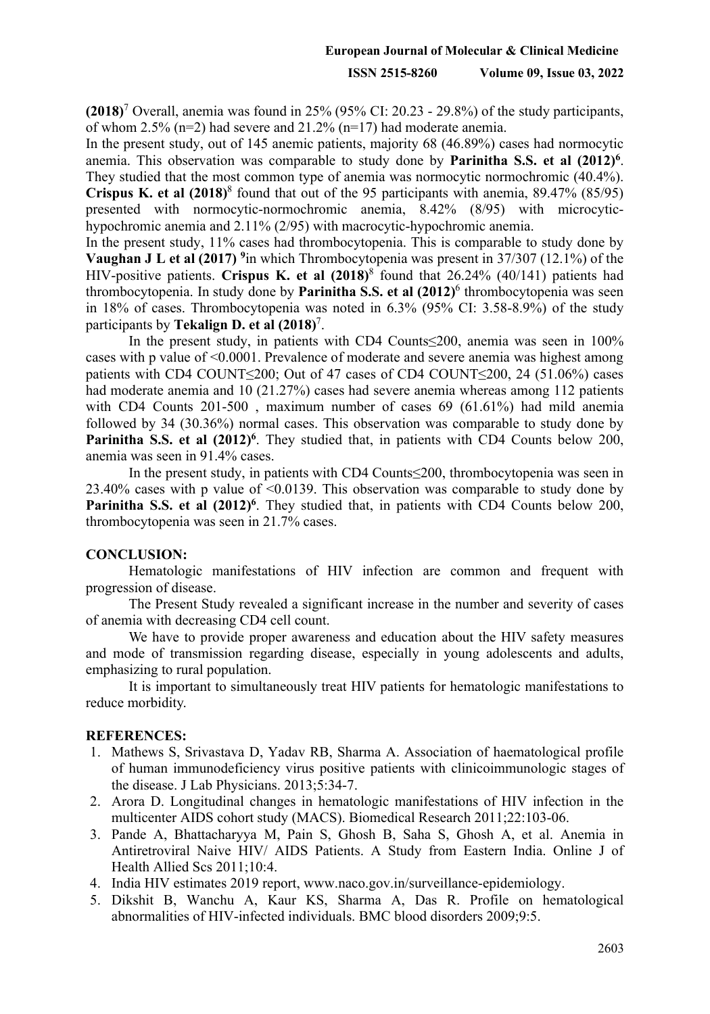## **European Journal of Molecular & Clinical Medicine**

#### **ISSN 2515-8260 Volume 09, Issue 03, 2022**

**(2018)**<sup>7</sup> Overall, anemia was found in 25% (95% CI: 20.23 - 29.8%) of the study participants, of whom 2.5% (n=2) had severe and 21.2% (n=17) had moderate anemia.

In the present study, out of 145 anemic patients, majority 68 (46.89%) cases had normocytic anemia. This observation was comparable to study done by **Parinitha S.S. et al (2012)6**. They studied that the most common type of anemia was normocytic normochromic (40.4%). **Crispus K. et al (2018)**<sup>8</sup> found that out of the 95 participants with anemia, 89.47% (85/95) presented with normocytic-normochromic anemia, 8.42% (8/95) with microcytichypochromic anemia and 2.11% (2/95) with macrocytic-hypochromic anemia.

In the present study, 11% cases had thrombocytopenia. This is comparable to study done by **Vaughan J L et al (2017) 9**in which Thrombocytopenia was present in 37/307 (12.1%) of the HIV-positive patients. **Crispus K. et al (2018)**<sup>8</sup> found that 26.24% (40/141) patients had thrombocytopenia. In study done by **Parinitha S.S. et al (2012)**<sup>6</sup> thrombocytopenia was seen in 18% of cases. Thrombocytopenia was noted in 6.3% (95% CI: 3.58-8.9%) of the study participants by **Tekalign D. et al (2018)**<sup>7</sup> .

In the present study, in patients with CD4 Counts≤200, anemia was seen in 100% cases with p value of <0.0001. Prevalence of moderate and severe anemia was highest among patients with CD4 COUNT≤200; Out of 47 cases of CD4 COUNT≤200, 24 (51.06%) cases had moderate anemia and 10 (21.27%) cases had severe anemia whereas among 112 patients with CD4 Counts 201-500 , maximum number of cases 69 (61.61%) had mild anemia followed by 34 (30.36%) normal cases. This observation was comparable to study done by **Parinitha S.S. et al**  $(2012)^6$ . They studied that, in patients with CD4 Counts below 200, anemia was seen in 91.4% cases.

In the present study, in patients with CD4 Counts≤200, thrombocytopenia was seen in 23.40% cases with p value of <0.0139. This observation was comparable to study done by Parinitha S.S. et al  $(2012)^6$ . They studied that, in patients with CD4 Counts below 200, thrombocytopenia was seen in 21.7% cases.

# **CONCLUSION:**

Hematologic manifestations of HIV infection are common and frequent with progression of disease.

The Present Study revealed a significant increase in the number and severity of cases of anemia with decreasing CD4 cell count.

We have to provide proper awareness and education about the HIV safety measures and mode of transmission regarding disease, especially in young adolescents and adults, emphasizing to rural population.

It is important to simultaneously treat HIV patients for hematologic manifestations to reduce morbidity.

#### **REFERENCES:**

- 1. Mathews S, Srivastava D, Yadav RB, Sharma A. Association of haematological profile of human immunodeficiency virus positive patients with clinicoimmunologic stages of the disease. J Lab Physicians. 2013;5:34-7.
- 2. Arora D. Longitudinal changes in hematologic manifestations of HIV infection in the multicenter AIDS cohort study (MACS). Biomedical Research 2011;22:103-06.
- 3. Pande A, Bhattacharyya M, Pain S, Ghosh B, Saha S, Ghosh A, et al. Anemia in Antiretroviral Naive HIV/ AIDS Patients. A Study from Eastern India. Online J of Health Allied Scs 2011;10:4.
- 4. India HIV estimates 2019 report, www.naco.gov.in/surveillance-epidemiology.
- 5. Dikshit B, Wanchu A, Kaur KS, Sharma A, Das R. Profile on hematological abnormalities of HIV-infected individuals. BMC blood disorders 2009;9:5.